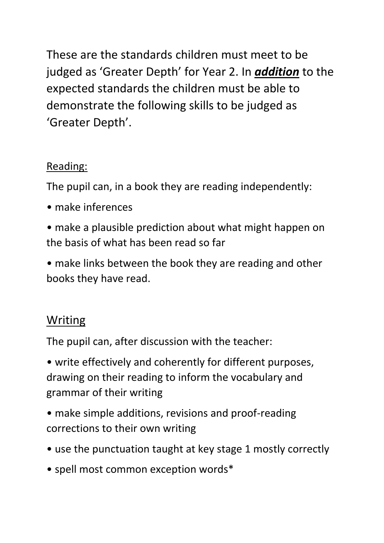These are the standards children must meet to be judged as 'Greater Depth' for Year 2. In *addition* to the expected standards the children must be able to demonstrate the following skills to be judged as 'Greater Depth'.

## Reading:

The pupil can, in a book they are reading independently:

- make inferences
- make a plausible prediction about what might happen on the basis of what has been read so far
- make links between the book they are reading and other books they have read.

## Writing

The pupil can, after discussion with the teacher:

• write effectively and coherently for different purposes, drawing on their reading to inform the vocabulary and grammar of their writing

- make simple additions, revisions and proof-reading corrections to their own writing
- use the punctuation taught at key stage 1 mostly correctly
- spell most common exception words\*